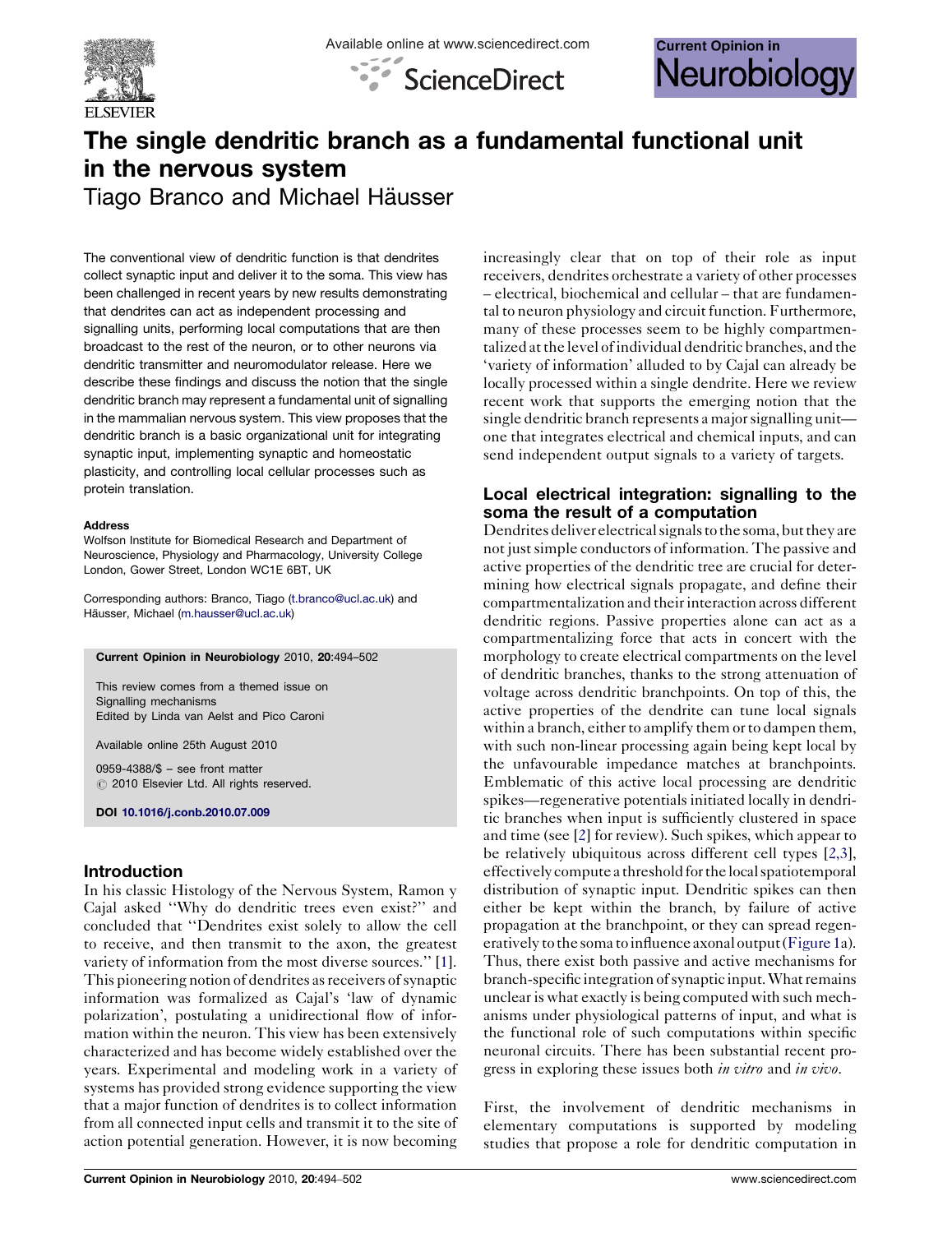





# The single dendritic branch as a fundamental functional unit in the nervous system

Tiago Branco and Michael Häusser

The conventional view of dendritic function is that dendrites collect synaptic input and deliver it to the soma. This view has been challenged in recent years by new results demonstrating that dendrites can act as independent processing and signalling units, performing local computations that are then broadcast to the rest of the neuron, or to other neurons via dendritic transmitter and neuromodulator release. Here we describe these findings and discuss the notion that the single dendritic branch may represent a fundamental unit of signalling in the mammalian nervous system. This view proposes that the dendritic branch is a basic organizational unit for integrating synaptic input, implementing synaptic and homeostatic plasticity, and controlling local cellular processes such as protein translation.

### Address

Wolfson Institute for Biomedical Research and Department of Neuroscience, Physiology and Pharmacology, University College London, Gower Street, London WC1E 6BT, UK

Corresponding authors: Branco, Tiago ([t.branco@ucl.ac.uk\)](mailto:t.branco@ucl.ac.uk) and Häusser, Michael ([m.hausser@ucl.ac.uk\)](mailto:m.hausser@ucl.ac.uk)

#### Current Opinion in Neurobiology 2010, 20:494–502

This review comes from a themed issue on Signalling mechanisms Edited by Linda van Aelst and Pico Caroni

Available online 25th August 2010

0959-4388/\$ – see front matter  $\oslash$  2010 Elsevier Ltd. All rights reserved.

DOI [10.1016/j.conb.2010.07.009](http://dx.doi.org/10.1016/j.conb.2010.07.009)

# Introduction

In his classic Histology of the Nervous System, Ramon y Cajal asked ''Why do dendritic trees even exist?'' and concluded that ''Dendrites exist solely to allow the cell to receive, and then transmit to the axon, the greatest variety of information from the most diverse sources.'' [\[1](#page-6-0)]. This pioneering notion of dendrites as receivers of synaptic information was formalized as Cajal's 'law of dynamic polarization', postulating a unidirectional flow of information within the neuron. This view has been extensively characterized and has become widely established over the years. Experimental and modeling work in a variety of systems has provided strong evidence supporting the view that a major function of dendrites is to collect information from all connected input cells and transmit it to the site of action potential generation. However, it is now becoming

increasingly clear that on top of their role as input receivers, dendrites orchestrate a variety of other processes – electrical, biochemical and cellular – that are fundamental to neuron physiology and circuit function. Furthermore, many of these processes seem to be highly compartmentalized at the level of individual dendritic branches, and the 'variety of information' alluded to by Cajal can already be locally processed within a single dendrite. Here we review recent work that supports the emerging notion that the single dendritic branch represents a major signalling unit one that integrates electrical and chemical inputs, and can send independent output signals to a variety of targets.

# Local electrical integration: signalling to the soma the result of a computation

Dendrites deliver electrical signals tothesoma, but they are not just simple conductors of information. The passive and active properties of the dendritic tree are crucial for determining how electrical signals propagate, and define their compartmentalization and their interaction across different dendritic regions. Passive properties alone can act as a compartmentalizing force that acts in concert with the morphology to create electrical compartments on the level of dendritic branches, thanks to the strong attenuation of voltage across dendritic branchpoints. On top of this, the active properties of the dendrite can tune local signals within a branch, either to amplify them or to dampen them, with such non-linear processing again being kept local by the unfavourable impedance matches at branchpoints. Emblematic of this active local processing are dendritic spikes—regenerative potentials initiated locally in dendritic branches when input is sufficiently clustered in space and time (see [\[2](#page-6-0)] for review). Such spikes, which appear to be relatively ubiquitous across different cell types [\[2,3\]](#page-6-0), effectively computea threshold for thelocal spatiotemporal distribution of synaptic input. Dendritic spikes can then either be kept within the branch, by failure of active propagation at the branchpoint, or they can spread regeneratively to the soma to influence axonal output ([Figure 1](#page-1-0)a). Thus, there exist both passive and active mechanisms for branch-specific integration of synaptic input. What remains unclear is what exactly is being computed with such mechanisms under physiological patterns of input, and what is the functional role of such computations within specific neuronal circuits. There has been substantial recent progress in exploring these issues both in vitro and in vivo.

First, the involvement of dendritic mechanisms in elementary computations is supported by modeling studies that propose a role for dendritic computation in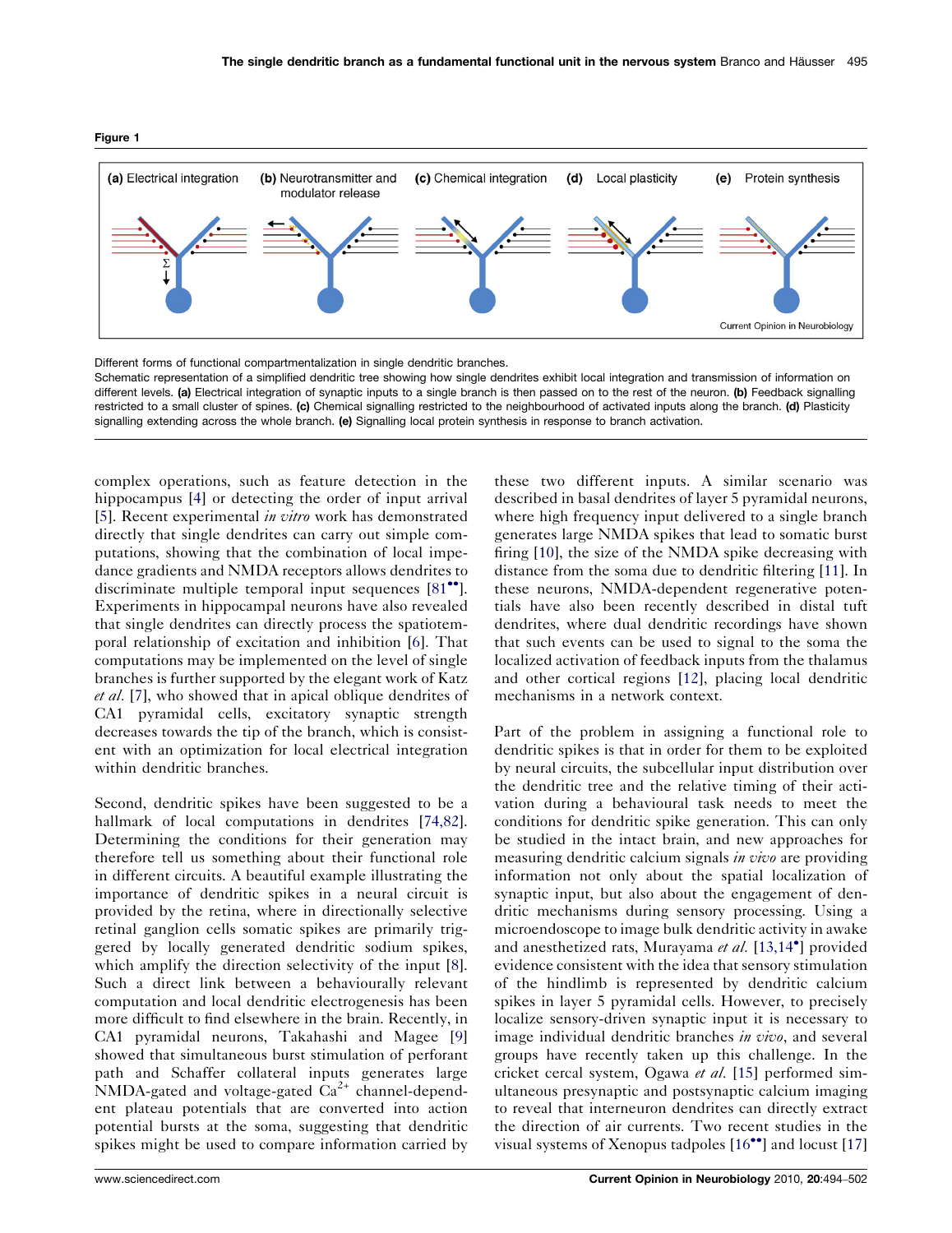

Different forms of functional compartmentalization in single dendritic branches.

Schematic representation of a simplified dendritic tree showing how single dendrites exhibit local integration and transmission of information on different levels. (a) Electrical integration of synaptic inputs to a single branch is then passed on to the rest of the neuron. (b) Feedback signalling restricted to a small cluster of spines. (c) Chemical signalling restricted to the neighbourhood of activated inputs along the branch. (d) Plasticity signalling extending across the whole branch. (e) Signalling local protein synthesis in response to branch activation.

complex operations, such as feature detection in the hippocampus [[4\]](#page-6-0) or detecting the order of input arrival [\[5](#page-6-0)]. Recent experimental *in vitro* work has demonstrated directly that single dendrites can carry out simple computations, showing that the combination of local impedance gradients and NMDA receptors allows dendrites to discriminate multiple temporal input sequences [[81](#page-8-0)<sup>••</sup>]. Experiments in hippocampal neurons have also revealed that single dendrites can directly process the spatiotemporal relationship of excitation and inhibition [\[6](#page-6-0)]. That computations may be implemented on the level of single branches is further supported by the elegant work of Katz et al. [[7\]](#page-6-0), who showed that in apical oblique dendrites of CA1 pyramidal cells, excitatory synaptic strength decreases towards the tip of the branch, which is consistent with an optimization for local electrical integration within dendritic branches.

Second, dendritic spikes have been suggested to be a hallmark of local computations in dendrites [[74,82](#page-8-0)]. Determining the conditions for their generation may therefore tell us something about their functional role in different circuits. A beautiful example illustrating the importance of dendritic spikes in a neural circuit is provided by the retina, where in directionally selective retinal ganglion cells somatic spikes are primarily triggered by locally generated dendritic sodium spikes, which amplify the direction selectivity of the input [\[8](#page-6-0)]. Such a direct link between a behaviourally relevant computation and local dendritic electrogenesis has been more difficult to find elsewhere in the brain. Recently, in CA1 pyramidal neurons, Takahashi and Magee [[9\]](#page-6-0) showed that simultaneous burst stimulation of perforant path and Schaffer collateral inputs generates large NMDA-gated and voltage-gated  $Ca^{2+}$  channel-dependent plateau potentials that are converted into action potential bursts at the soma, suggesting that dendritic spikes might be used to compare information carried by

these two different inputs. A similar scenario was described in basal dendrites of layer 5 pyramidal neurons, where high frequency input delivered to a single branch generates large NMDA spikes that lead to somatic burst firing [[10\]](#page-6-0), the size of the NMDA spike decreasing with distance from the soma due to dendritic filtering [\[11](#page-6-0)]. In these neurons, NMDA-dependent regenerative potentials have also been recently described in distal tuft dendrites, where dual dendritic recordings have shown that such events can be used to signal to the soma the localized activation of feedback inputs from the thalamus and other cortical regions [[12\]](#page-6-0), placing local dendritic mechanisms in a network context.

Part of the problem in assigning a functional role to dendritic spikes is that in order for them to be exploited by neural circuits, the subcellular input distribution over the dendritic tree and the relative timing of their activation during a behavioural task needs to meet the conditions for dendritic spike generation. This can only be studied in the intact brain, and new approaches for measuring dendritic calcium signals in vivo are providing information not only about the spatial localization of synaptic input, but also about the engagement of dendritic mechanisms during sensory processing. Using a microendoscope to image bulk dendritic activity in awake and anesthetized rats, Murayama et al. [\[13,14](#page-6-0)<sup>\*</sup>] provided evidence consistent with the idea that sensory stimulation of the hindlimb is represented by dendritic calcium spikes in layer 5 pyramidal cells. However, to precisely localize sensory-driven synaptic input it is necessary to image individual dendritic branches in vivo, and several groups have recently taken up this challenge. In the cricket cercal system, Ogawa et al. [[15\]](#page-6-0) performed simultaneous presynaptic and postsynaptic calcium imaging to reveal that interneuron dendrites can directly extract the direction of air currents. Two recent studies in the visual systems of Xenopus tadpoles [\[16](#page-6-0)<sup>\*</sup>] and locust [\[17](#page-6-0)]

#### <span id="page-1-0"></span>Figure 1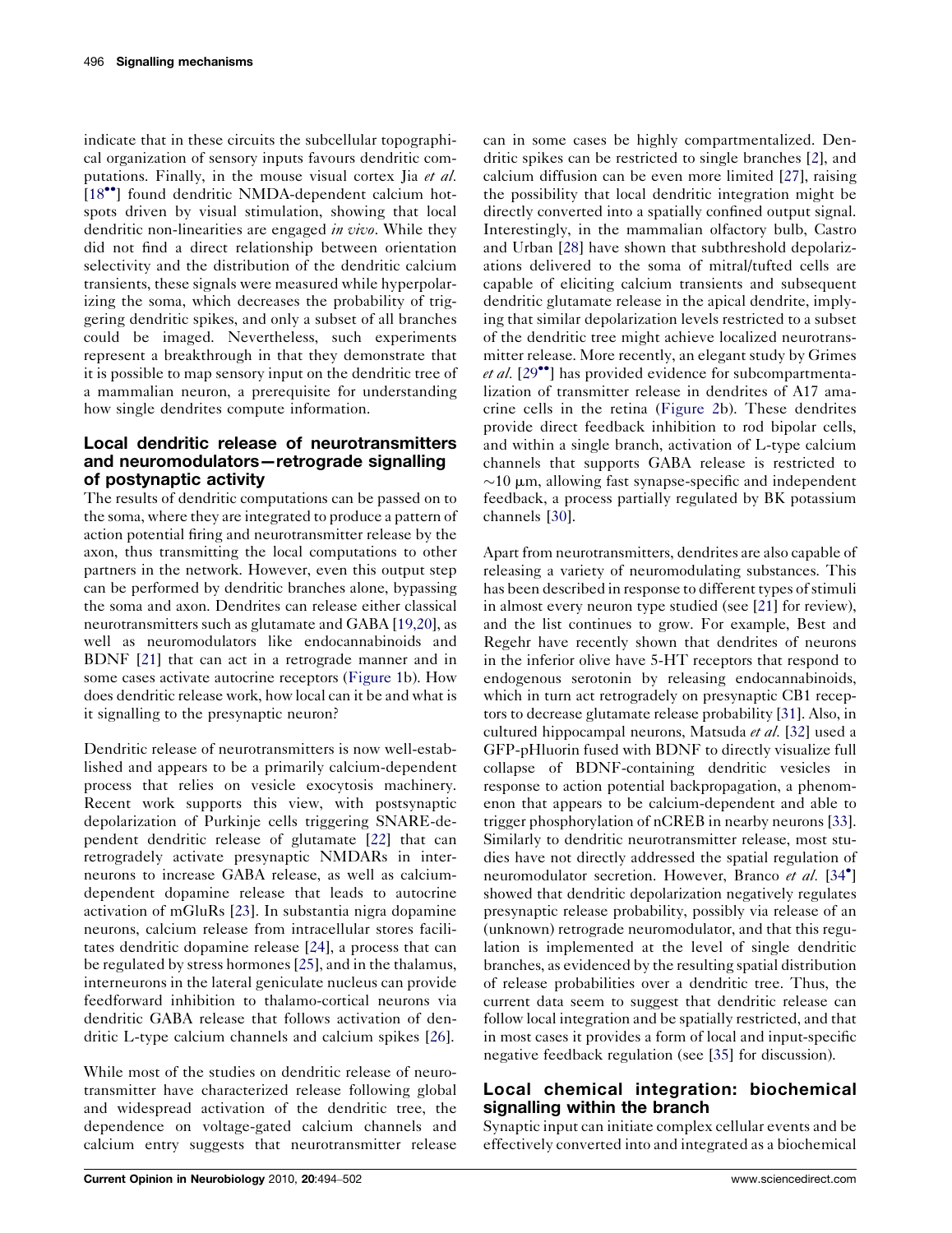indicate that in these circuits the subcellular topographical organization of sensory inputs favours dendritic computations. Finally, in the mouse visual cortex Jia et al. [\[18](#page-6-0)\*\*] found dendritic NMDA-dependent calcium hotspots driven by visual stimulation, showing that local dendritic non-linearities are engaged *in vivo*. While they did not find a direct relationship between orientation selectivity and the distribution of the dendritic calcium transients, these signals were measured while hyperpolarizing the soma, which decreases the probability of triggering dendritic spikes, and only a subset of all branches could be imaged. Nevertheless, such experiments represent a breakthrough in that they demonstrate that it is possible to map sensory input on the dendritic tree of a mammalian neuron, a prerequisite for understanding how single dendrites compute information.

# Local dendritic release of neurotransmitters and neuromodulators—retrograde signalling of postynaptic activity

The results of dendritic computations can be passed on to the soma, where they are integrated to produce a pattern of action potential firing and neurotransmitter release by the axon, thus transmitting the local computations to other partners in the network. However, even this output step can be performed by dendritic branches alone, bypassing the soma and axon. Dendrites can release either classical neurotransmitters such as glutamate and GABA [[19,20\]](#page-6-0), as well as neuromodulators like endocannabinoids and BDNF [[21\]](#page-6-0) that can act in a retrograde manner and in some cases activate autocrine receptors [\(Figure 1b](#page-1-0)). How does dendritic release work, how local can it be and what is it signalling to the presynaptic neuron?

Dendritic release of neurotransmitters is now well-established and appears to be a primarily calcium-dependent process that relies on vesicle exocytosis machinery. Recent work supports this view, with postsynaptic depolarization of Purkinje cells triggering SNARE-dependent dendritic release of glutamate [[22\]](#page-7-0) that can retrogradely activate presynaptic NMDARs in interneurons to increase GABA release, as well as calciumdependent dopamine release that leads to autocrine activation of mGluRs [\[23](#page-7-0)]. In substantia nigra dopamine neurons, calcium release from intracellular stores facilitates dendritic dopamine release [\[24](#page-7-0)], a process that can be regulated by stress hormones [\[25](#page-7-0)], and in the thalamus, interneurons in the lateral geniculate nucleus can provide feedforward inhibition to thalamo-cortical neurons via dendritic GABA release that follows activation of dendritic L-type calcium channels and calcium spikes [[26\]](#page-7-0).

While most of the studies on dendritic release of neurotransmitter have characterized release following global and widespread activation of the dendritic tree, the dependence on voltage-gated calcium channels and calcium entry suggests that neurotransmitter release

can in some cases be highly compartmentalized. Dendritic spikes can be restricted to single branches [\[2](#page-6-0)], and calcium diffusion can be even more limited [[27\]](#page-7-0), raising the possibility that local dendritic integration might be directly converted into a spatially confined output signal. Interestingly, in the mammalian olfactory bulb, Castro and Urban [[28\]](#page-7-0) have shown that subthreshold depolarizations delivered to the soma of mitral/tufted cells are capable of eliciting calcium transients and subsequent dendritic glutamate release in the apical dendrite, implying that similar depolarization levels restricted to a subset of the dendritic tree might achieve localized neurotransmitter release. More recently, an elegant study by Grimes et al. [\[29](#page-7-0)<sup>••</sup>] has provided evidence for subcompartmentalization of transmitter release in dendrites of A17 amacrine cells in the retina [\(Figure 2](#page-3-0)b). These dendrites provide direct feedback inhibition to rod bipolar cells, and within a single branch, activation of L-type calcium channels that supports GABA release is restricted to  $\sim$ 10  $\mu$ m, allowing fast synapse-specific and independent feedback, a process partially regulated by BK potassium channels [[30\]](#page-7-0).

Apart from neurotransmitters, dendrites are also capable of releasing a variety of neuromodulating substances. This has been described in response to different types of stimuli in almost every neuron type studied (see [[21\]](#page-6-0) for review), and the list continues to grow. For example, Best and Regehr have recently shown that dendrites of neurons in the inferior olive have 5-HT receptors that respond to endogenous serotonin by releasing endocannabinoids, which in turn act retrogradely on presynaptic CB1 receptors to decrease glutamate release probability [[31\]](#page-7-0). Also, in cultured hippocampal neurons, Matsuda et al. [\[32](#page-7-0)] used a GFP-pHluorin fused with BDNF to directly visualize full collapse of BDNF-containing dendritic vesicles in response to action potential backpropagation, a phenomenon that appears to be calcium-dependent and able to trigger phosphorylation of nCREB in nearby neurons [[33\]](#page-7-0). Similarly to dendritic neurotransmitter release, most studies have not directly addressed the spatial regulation of neuromodulator secretion. However, Branco et al. [\[34](#page-7-0)°] showed that dendritic depolarization negatively regulates presynaptic release probability, possibly via release of an (unknown) retrograde neuromodulator, and that this regulation is implemented at the level of single dendritic branches, as evidenced by the resulting spatial distribution of release probabilities over a dendritic tree. Thus, the current data seem to suggest that dendritic release can follow local integration and be spatially restricted, and that in most cases it provides a form of local and input-specific negative feedback regulation (see [\[35](#page-7-0)] for discussion).

# Local chemical integration: biochemical signalling within the branch

Synaptic input can initiate complex cellular events and be effectively converted into and integrated as a biochemical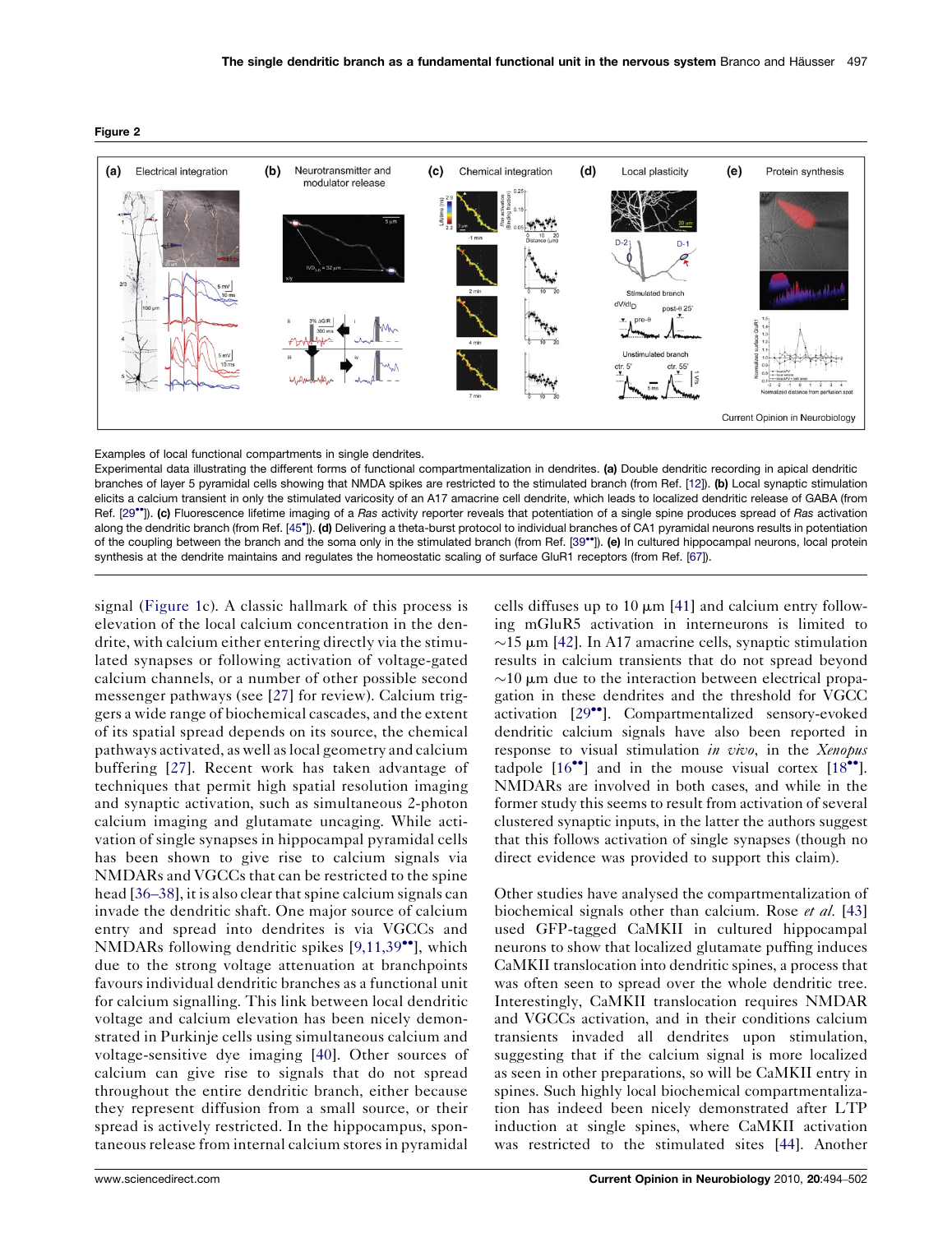

#### <span id="page-3-0"></span>Figure 2

Examples of local functional compartments in single dendrites.

Experimental data illustrating the different forms of functional compartmentalization in dendrites. (a) Double dendritic recording in apical dendritic branches of layer 5 pyramidal cells showing that NMDA spikes are restricted to the stimulated branch (from Ref. [\[12\]](#page-6-0)). (b) Local synaptic stimulation elicits a calcium transient in only the stimulated varicosity of an A17 amacrine cell dendrite, which leads to localized dendritic release of GABA (from Ref. [[29](#page-7-0)\*\*]). (c) Fluorescence lifetime imaging of a Ras activity reporter reveals that potentiation of a single spine produces spread of Ras activation along the dendritic branch (from Ref. [\[45](#page-7-0)\*]). (d) Delivering a theta-burst protocol to individual branches of CA1 pyramidal neurons results in potentiation of the coupling between the branch and the soma only in the stimulated branch (from Ref. [[39](#page-7-0)\*\*]). (e) In cultured hippocampal neurons, local protein synthesis at the dendrite maintains and regulates the homeostatic scaling of surface GluR1 receptors (from Ref. [[67](#page-8-0)]).

signal ([Figure 1c](#page-1-0)). A classic hallmark of this process is elevation of the local calcium concentration in the dendrite, with calcium either entering directly via the stimulated synapses or following activation of voltage-gated calcium channels, or a number of other possible second messenger pathways (see [[27\]](#page-7-0) for review). Calcium triggers a wide range of biochemical cascades, and the extent of its spatial spread depends on its source, the chemical pathways activated, as well as local geometry and calcium buffering [[27](#page-7-0)]. Recent work has taken advantage of techniques that permit high spatial resolution imaging and synaptic activation, such as simultaneous 2-photon calcium imaging and glutamate uncaging. While activation of single synapses in hippocampal pyramidal cells has been shown to give rise to calcium signals via NMDARs and VGCCs that can be restricted to the spine head [[36](#page-7-0)–38], it is also clear that spine calcium signals can invade the dendritic shaft. One major source of calcium entry and spread into dendrites is via VGCCs and NMDARs following dendritic spikes [[9,11,39](#page-6-0)<sup>••</sup>], which due to the strong voltage attenuation at branchpoints favours individual dendritic branches as a functional unit for calcium signalling. This link between local dendritic voltage and calcium elevation has been nicely demonstrated in Purkinje cells using simultaneous calcium and voltage-sensitive dye imaging [\[40\]](#page-7-0). Other sources of calcium can give rise to signals that do not spread throughout the entire dendritic branch, either because they represent diffusion from a small source, or their spread is actively restricted. In the hippocampus, spontaneous release from internal calcium stores in pyramidal

cells diffuses up to 10  $\mu$ m [\[41](#page-7-0)] and calcium entry following mGluR5 activation in interneurons is limited to  $\sim$ 15 µm [\[42](#page-7-0)]. In A17 amacrine cells, synaptic stimulation results in calcium transients that do not spread beyond  $\sim$ 10 µm due to the interaction between electrical propagation in these dendrites and the threshold for VGCC activation [\[29](#page-7-0)\*\*]. Compartmentalized sensory-evoked dendritic calcium signals have also been reported in response to visual stimulation in vivo, in the Xenopus tadpole  $[16^{\bullet\bullet}]$  $[16^{\bullet\bullet}]$  and in the mouse visual cortex  $[18^{\bullet\bullet}]$  $[18^{\bullet\bullet}]$ . NMDARs are involved in both cases, and while in the former study this seems to result from activation of several clustered synaptic inputs, in the latter the authors suggest that this follows activation of single synapses (though no direct evidence was provided to support this claim).

Other studies have analysed the compartmentalization of biochemical signals other than calcium. Rose *et al.* [\[43](#page-7-0)] used GFP-tagged CaMKII in cultured hippocampal neurons to show that localized glutamate puffing induces CaMKII translocation into dendritic spines, a process that was often seen to spread over the whole dendritic tree. Interestingly, CaMKII translocation requires NMDAR and VGCCs activation, and in their conditions calcium transients invaded all dendrites upon stimulation, suggesting that if the calcium signal is more localized as seen in other preparations, so will be CaMKII entry in spines. Such highly local biochemical compartmentalization has indeed been nicely demonstrated after LTP induction at single spines, where CaMKII activation was restricted to the stimulated sites [[44\]](#page-7-0). Another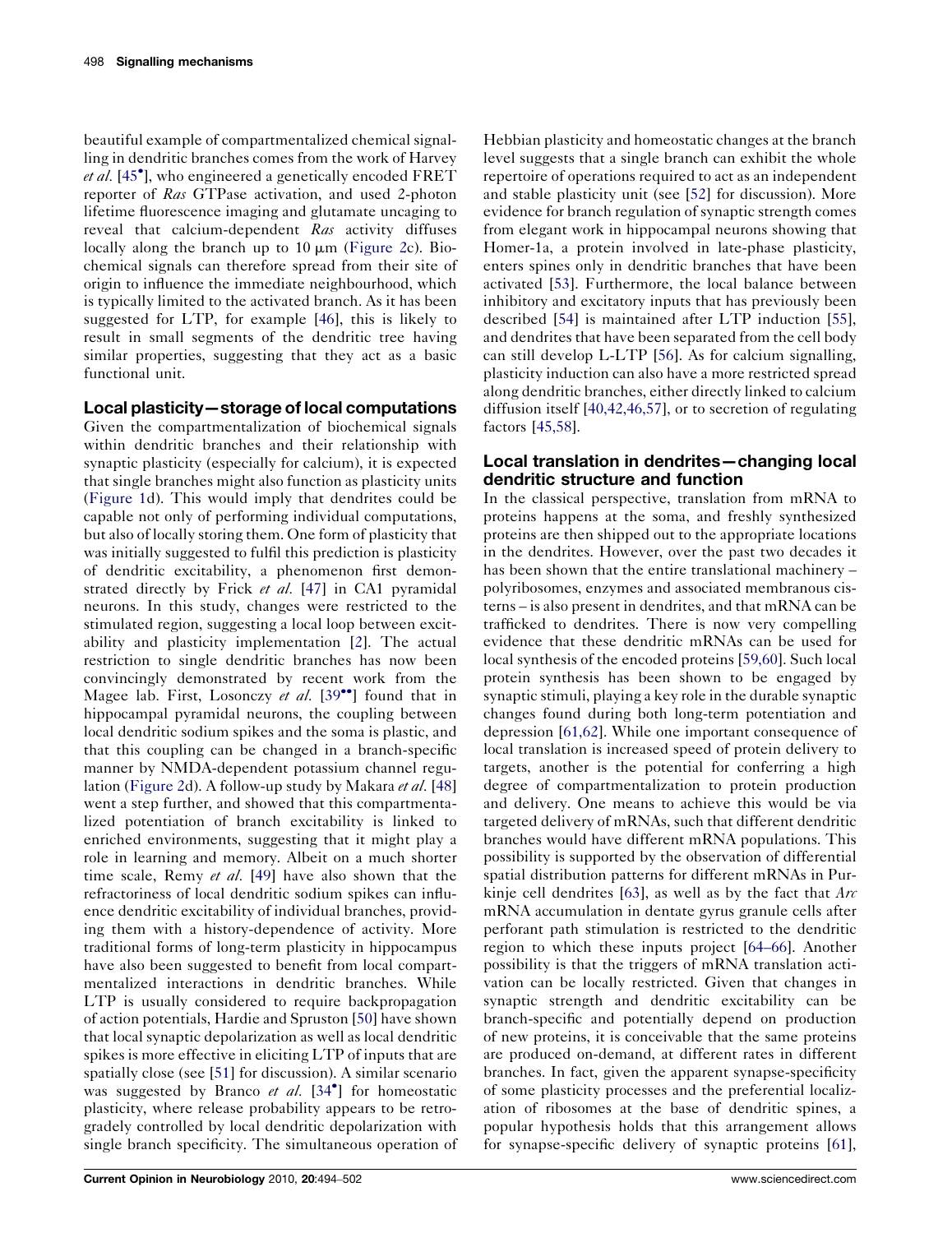beautiful example of compartmentalized chemical signalling in dendritic branches comes from the work of Harvey et al. [[45](#page-7-0)<sup>°</sup>], who engineered a genetically encoded FRET reporter of Ras GTPase activation, and used 2-photon lifetime fluorescence imaging and glutamate uncaging to reveal that calcium-dependent Ras activity diffuses locally along the branch up to  $10 \mu m$  ([Figure 2](#page-3-0)c). Biochemical signals can therefore spread from their site of origin to influence the immediate neighbourhood, which is typically limited to the activated branch. As it has been suggested for LTP, for example [\[46](#page-7-0)], this is likely to result in small segments of the dendritic tree having similar properties, suggesting that they act as a basic functional unit.

## Local plasticity—storage of local computations

Given the compartmentalization of biochemical signals within dendritic branches and their relationship with synaptic plasticity (especially for calcium), it is expected that single branches might also function as plasticity units [\(Figure 1](#page-1-0)d). This would imply that dendrites could be capable not only of performing individual computations, but also of locally storing them. One form of plasticity that was initially suggested to fulfil this prediction is plasticity of dendritic excitability, a phenomenon first demon-strated directly by Frick et al. [[47\]](#page-7-0) in CA1 pyramidal neurons. In this study, changes were restricted to the stimulated region, suggesting a local loop between excitability and plasticity implementation [\[2](#page-6-0)]. The actual restriction to single dendritic branches has now been convincingly demonstrated by recent work from the Magee lab. First, Losonczy et al. [\[39](#page-7-0)<sup>••</sup>] found that in hippocampal pyramidal neurons, the coupling between local dendritic sodium spikes and the soma is plastic, and that this coupling can be changed in a branch-specific manner by NMDA-dependent potassium channel regu-lation [\(Figure 2d](#page-3-0)). A follow-up study by Makara et al. [[48\]](#page-7-0) went a step further, and showed that this compartmentalized potentiation of branch excitability is linked to enriched environments, suggesting that it might play a role in learning and memory. Albeit on a much shorter time scale, Remy et al. [\[49](#page-7-0)] have also shown that the refractoriness of local dendritic sodium spikes can influence dendritic excitability of individual branches, providing them with a history-dependence of activity. More traditional forms of long-term plasticity in hippocampus have also been suggested to benefit from local compartmentalized interactions in dendritic branches. While LTP is usually considered to require backpropagation of action potentials, Hardie and Spruston [[50\]](#page-7-0) have shown that local synaptic depolarization as well as local dendritic spikes is more effective in eliciting LTP of inputs that are spatially close (see [\[51](#page-7-0)] for discussion). A similar scenario was suggested by Branco et al. [[34](#page-7-0)<sup>°</sup>] for homeostatic plasticity, where release probability appears to be retrogradely controlled by local dendritic depolarization with single branch specificity. The simultaneous operation of Hebbian plasticity and homeostatic changes at the branch level suggests that a single branch can exhibit the whole repertoire of operations required to act as an independent and stable plasticity unit (see [\[52](#page-7-0)] for discussion). More evidence for branch regulation of synaptic strength comes from elegant work in hippocampal neurons showing that Homer-1a, a protein involved in late-phase plasticity, enters spines only in dendritic branches that have been activated [[53\]](#page-7-0). Furthermore, the local balance between inhibitory and excitatory inputs that has previously been described [\[54](#page-7-0)] is maintained after LTP induction [[55](#page-7-0)], and dendrites that have been separated from the cell body can still develop L-LTP [[56\]](#page-7-0). As for calcium signalling, plasticity induction can also have a more restricted spread along dendritic branches, either directly linked to calcium diffusion itself [[40,42,46,57\]](#page-7-0), or to secretion of regulating factors [\[45,58\]](#page-7-0).

# Local translation in dendrites—changing local dendritic structure and function

In the classical perspective, translation from mRNA to proteins happens at the soma, and freshly synthesized proteins are then shipped out to the appropriate locations in the dendrites. However, over the past two decades it has been shown that the entire translational machinery – polyribosomes, enzymes and associated membranous cisterns – is also present in dendrites, and that mRNA can be trafficked to dendrites. There is now very compelling evidence that these dendritic mRNAs can be used for local synthesis of the encoded proteins [\[59,60\]](#page-8-0). Such local protein synthesis has been shown to be engaged by synaptic stimuli, playing a key role in the durable synaptic changes found during both long-term potentiation and depression [[61,62](#page-8-0)]. While one important consequence of local translation is increased speed of protein delivery to targets, another is the potential for conferring a high degree of compartmentalization to protein production and delivery. One means to achieve this would be via targeted delivery of mRNAs, such that different dendritic branches would have different mRNA populations. This possibility is supported by the observation of differential spatial distribution patterns for different mRNAs in Pur-kinje cell dendrites [[63\]](#page-8-0), as well as by the fact that  $Arc$ mRNA accumulation in dentate gyrus granule cells after perforant path stimulation is restricted to the dendritic region to which these inputs project [[64](#page-8-0)–66]. Another possibility is that the triggers of mRNA translation activation can be locally restricted. Given that changes in synaptic strength and dendritic excitability can be branch-specific and potentially depend on production of new proteins, it is conceivable that the same proteins are produced on-demand, at different rates in different branches. In fact, given the apparent synapse-specificity of some plasticity processes and the preferential localization of ribosomes at the base of dendritic spines, a popular hypothesis holds that this arrangement allows for synapse-specific delivery of synaptic proteins [[61](#page-8-0)],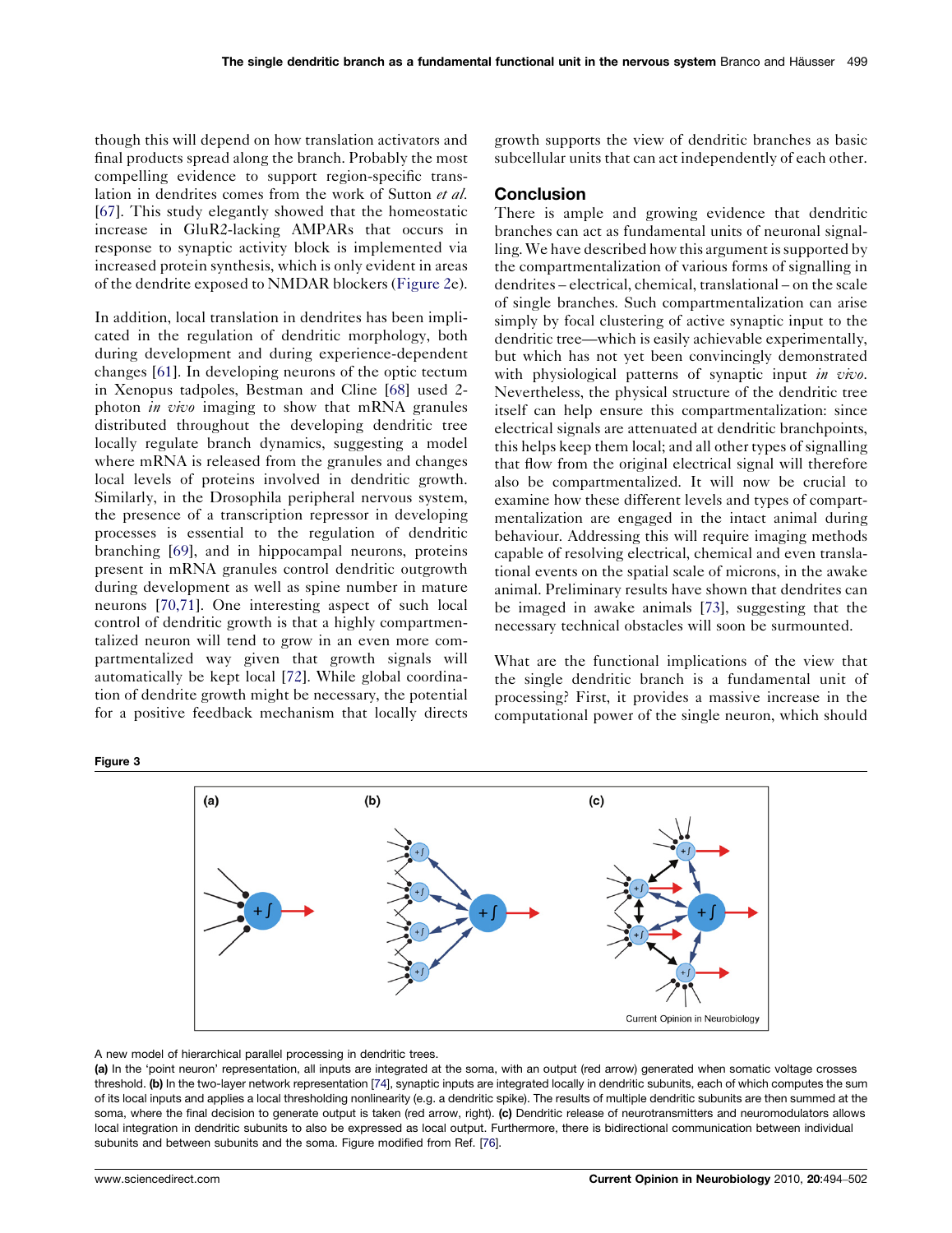<span id="page-5-0"></span>though this will depend on how translation activators and final products spread along the branch. Probably the most compelling evidence to support region-specific translation in dendrites comes from the work of Sutton et al. [\[67](#page-8-0)]. This study elegantly showed that the homeostatic increase in GluR2-lacking AMPARs that occurs in response to synaptic activity block is implemented via increased protein synthesis, which is only evident in areas of the dendrite exposed to NMDAR blockers [\(Figure 2](#page-3-0)e).

In addition, local translation in dendrites has been implicated in the regulation of dendritic morphology, both during development and during experience-dependent changes [\[61](#page-8-0)]. In developing neurons of the optic tectum in Xenopus tadpoles, Bestman and Cline [[68\]](#page-8-0) used 2 photon *in vivo* imaging to show that mRNA granules distributed throughout the developing dendritic tree locally regulate branch dynamics, suggesting a model where mRNA is released from the granules and changes local levels of proteins involved in dendritic growth. Similarly, in the Drosophila peripheral nervous system, the presence of a transcription repressor in developing processes is essential to the regulation of dendritic branching [\[69](#page-8-0)], and in hippocampal neurons, proteins present in mRNA granules control dendritic outgrowth during development as well as spine number in mature neurons [\[70,71\]](#page-8-0). One interesting aspect of such local control of dendritic growth is that a highly compartmentalized neuron will tend to grow in an even more compartmentalized way given that growth signals will automatically be kept local [\[72](#page-8-0)]. While global coordination of dendrite growth might be necessary, the potential for a positive feedback mechanism that locally directs

growth supports the view of dendritic branches as basic subcellular units that can act independently of each other.

### Conclusion

There is ample and growing evidence that dendritic branches can act as fundamental units of neuronal signalling. We have described how this argument is supported by the compartmentalization of various forms of signalling in dendrites – electrical, chemical, translational – on the scale of single branches. Such compartmentalization can arise simply by focal clustering of active synaptic input to the dendritic tree—which is easily achievable experimentally, but which has not yet been convincingly demonstrated with physiological patterns of synaptic input in vivo. Nevertheless, the physical structure of the dendritic tree itself can help ensure this compartmentalization: since electrical signals are attenuated at dendritic branchpoints, this helps keep them local; and all other types of signalling that flow from the original electrical signal will therefore also be compartmentalized. It will now be crucial to examine how these different levels and types of compartmentalization are engaged in the intact animal during behaviour. Addressing this will require imaging methods capable of resolving electrical, chemical and even translational events on the spatial scale of microns, in the awake animal. Preliminary results have shown that dendrites can be imaged in awake animals [[73\]](#page-8-0), suggesting that the necessary technical obstacles will soon be surmounted.

What are the functional implications of the view that the single dendritic branch is a fundamental unit of processing? First, it provides a massive increase in the computational power of the single neuron, which should



#### A new model of hierarchical parallel processing in dendritic trees.

(a) In the 'point neuron' representation, all inputs are integrated at the soma, with an output (red arrow) generated when somatic voltage crosses threshold. (b) In the two-layer network representation [[74](#page-8-0)], synaptic inputs are integrated locally in dendritic subunits, each of which computes the sum of its local inputs and applies a local thresholding nonlinearity (e.g. a dendritic spike). The results of multiple dendritic subunits are then summed at the soma, where the final decision to generate output is taken (red arrow, right). (c) Dendritic release of neurotransmitters and neuromodulators allows local integration in dendritic subunits to also be expressed as local output. Furthermore, there is bidirectional communication between individual subunits and between subunits and the soma. Figure modified from Ref. [[76\]](#page-8-0).

Figure 3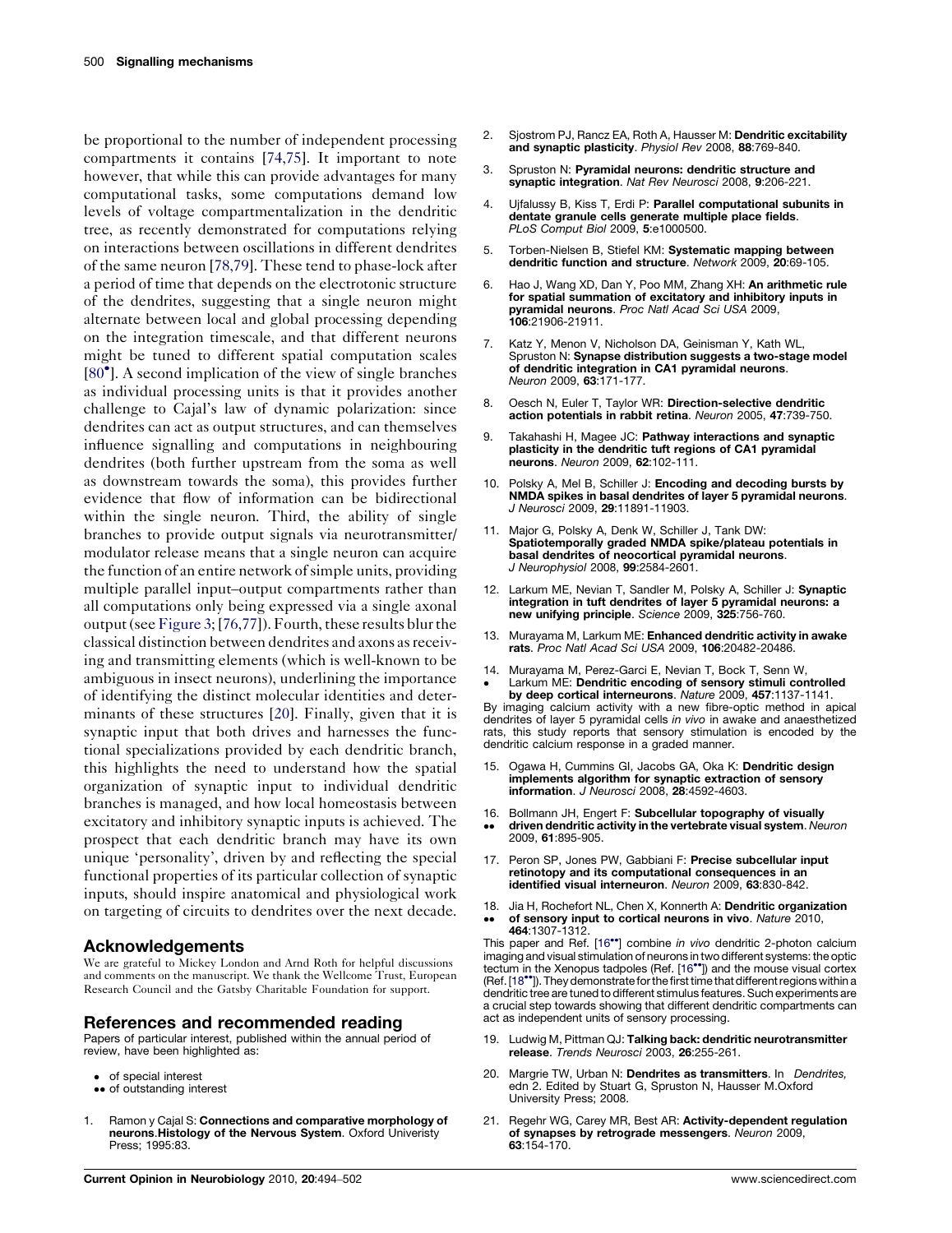<span id="page-6-0"></span>be proportional to the number of independent processing compartments it contains [[74,75](#page-8-0)]. It important to note however, that while this can provide advantages for many computational tasks, some computations demand low levels of voltage compartmentalization in the dendritic tree, as recently demonstrated for computations relying on interactions between oscillations in different dendrites of the same neuron [[78,79](#page-8-0)]. These tend to phase-lock after a period of time that depends on the electrotonic structure of the dendrites, suggesting that a single neuron might alternate between local and global processing depending on the integration timescale, and that different neurons might be tuned to different spatial computation scales [\[80](#page-8-0)<sup>°</sup>]. A second implication of the view of single branches as individual processing units is that it provides another challenge to Cajal's law of dynamic polarization: since dendrites can act as output structures, and can themselves influence signalling and computations in neighbouring dendrites (both further upstream from the soma as well as downstream towards the soma), this provides further evidence that flow of information can be bidirectional within the single neuron. Third, the ability of single branches to provide output signals via neurotransmitter/ modulator release means that a single neuron can acquire the function of an entire network of simple units, providing multiple parallel input–output compartments rather than all computations only being expressed via a single axonal output (see[Figure 3](#page-5-0); [\[76,77\]](#page-8-0)). Fourth, these results blur the classical distinction between dendrites and axons as receiving and transmitting elements (which is well-known to be ambiguous in insect neurons), underlining the importance of identifying the distinct molecular identities and determinants of these structures [20]. Finally, given that it is synaptic input that both drives and harnesses the functional specializations provided by each dendritic branch, this highlights the need to understand how the spatial organization of synaptic input to individual dendritic branches is managed, and how local homeostasis between excitatory and inhibitory synaptic inputs is achieved. The prospect that each dendritic branch may have its own unique 'personality', driven by and reflecting the special functional properties of its particular collection of synaptic inputs, should inspire anatomical and physiological work on targeting of circuits to dendrites over the next decade.

### Acknowledgements

We are grateful to Mickey London and Arnd Roth for helpful discussions and comments on the manuscript. We thank the Wellcome Trust, European Research Council and the Gatsby Charitable Foundation for support.

### References and recommended reading

Papers of particular interest, published within the annual period of review, have been highlighted as:

- of special interest
- •• of outstanding interest
- Ramon y Cajal S: Connections and comparative morphology of neurons.Histology of the Nervous System. Oxford Univeristy Press; 1995:83.
- 2. Sjostrom PJ, Rancz EA, Roth A, Hausser M: Dendritic excitability and synaptic plasticity. Physiol Rev 2008, 88:769-840
- 3. Spruston N: Pyramidal neurons: dendritic structure and synaptic integration. Nat Rev Neurosci 2008, 9:206-221.
- 4. Ujfalussy B, Kiss T, Erdi P: Parallel computational subunits in dentate granule cells generate multiple place fields. PLoS Comput Biol 2009, 5:e1000500.
- 5. Torben-Nielsen B, Stiefel KM: Systematic mapping between dendritic function and structure. Network 2009, 20:69-105.
- 6. Hao J, Wang XD, Dan Y, Poo MM, Zhang XH: An arithmetic rule for spatial summation of excitatory and inhibitory inputs in<br>pyramidal neurons. Proc Natl Acad Sci USA 2009, 106:21906-21911.
- 7. Katz Y, Menon V, Nicholson DA, Geinisman Y, Kath WL, Spruston N: Synapse distribution suggests a two-stage model of dendritic integration in CA1 pyramidal neurons. Neuron 2009, 63:171-177.
- 8. Oesch N, Euler T, Taylor WR: Direction-selective dendritic action potentials in rabbit retina. Neuron 2005, 47:739-750.
- 9. Takahashi H, Magee JC: Pathway interactions and synaptic plasticity in the dendritic tuft regions of CA1 pyramidal neurons. Neuron 2009, 62:102-111.
- 10. Polsky A, Mel B, Schiller J: Encoding and decoding bursts by NMDA spikes in basal dendrites of layer 5 pyramidal neurons. J Neurosci 2009, 29:11891-11903.
- 11. Major G, Polsky A, Denk W, Schiller J, Tank DW: Spatiotemporally graded NMDA spike/plateau potentials in basal dendrites of neocortical pyramidal neurons. J Neurophysiol 2008, 99:2584-2601.
- 12. Larkum ME, Nevian T, Sandler M, Polsky A, Schiller J: Synaptic integration in tuft dendrites of layer 5 pyramidal neurons: a new unifying principle. Science 2009, 325:756-760.
- 13. Murayama M, Larkum ME: Enhanced dendritic activity in awake rats. Proc Natl Acad Sci USA 2009, 106:20482-20486.
- 14. Murayama M, Perez-Garci E, Nevian T, Bock T, Senn W,
- -Larkum ME: Dendritic encoding of sensory stimuli controlled by deep cortical interneurons. Nature 2009, 457:1137-1141.

By imaging calcium activity with a new fibre-optic method in apical dendrites of layer 5 pyramidal cells in vivo in awake and anaesthetized rats, this study reports that sensory stimulation is encoded by the dendritic calcium response in a graded manner.

- 15. Ogawa H, Cummins GI, Jacobs GA, Oka K: Dendritic design implements algorithm for synaptic extraction of sensory information. J Neurosci 2008, 28:4592-4603.
- 16. Bollmann JH, Engert F: Subcellular topography of visually  $\bullet \bullet$ driven dendritic activity in the vertebrate visual system. Neuron 2009, 61:895-905.
- 17. Peron SP, Jones PW, Gabbiani F: Precise subcellular input retinotopy and its computational consequences in an identified visual interneuron. Neuron 2009, 63:830-842.
- 18. Jia H, Rochefort NL, Chen X, Konnerth A: Dendritic organization
- -of sensory input to cortical neurons in vivo. Nature 2010, 464:1307-1312.

This paper and Ref. [16\*\*] combine in vivo dendritic 2-photon calcium imaging and visual stimulation of neurons in two different systems: the optic tectum in the Xenopus tadpoles (Ref. [16\*\*]) and the mouse visual cortex (Ref. [18\*\*]). They demonstrate for the first time that different regions within a dendritic tree are tuned to different stimulus features. Such experiments are a crucial step towards showing that different dendritic compartments can act as independent units of sensory processing.

- 19. Ludwig M, Pittman QJ: Talking back: dendritic neurotransmitter release. Trends Neurosci 2003, 26:255-261.
- 20. Margrie TW, Urban N: Dendrites as transmitters. In Dendrites, edn 2. Edited by Stuart G, Spruston N, Hausser M.Oxford University Press; 2008.
- 21. Regehr WG, Carey MR, Best AR: Activity-dependent regulation of synapses by retrograde messengers. Neuron 2009, 63:154-170.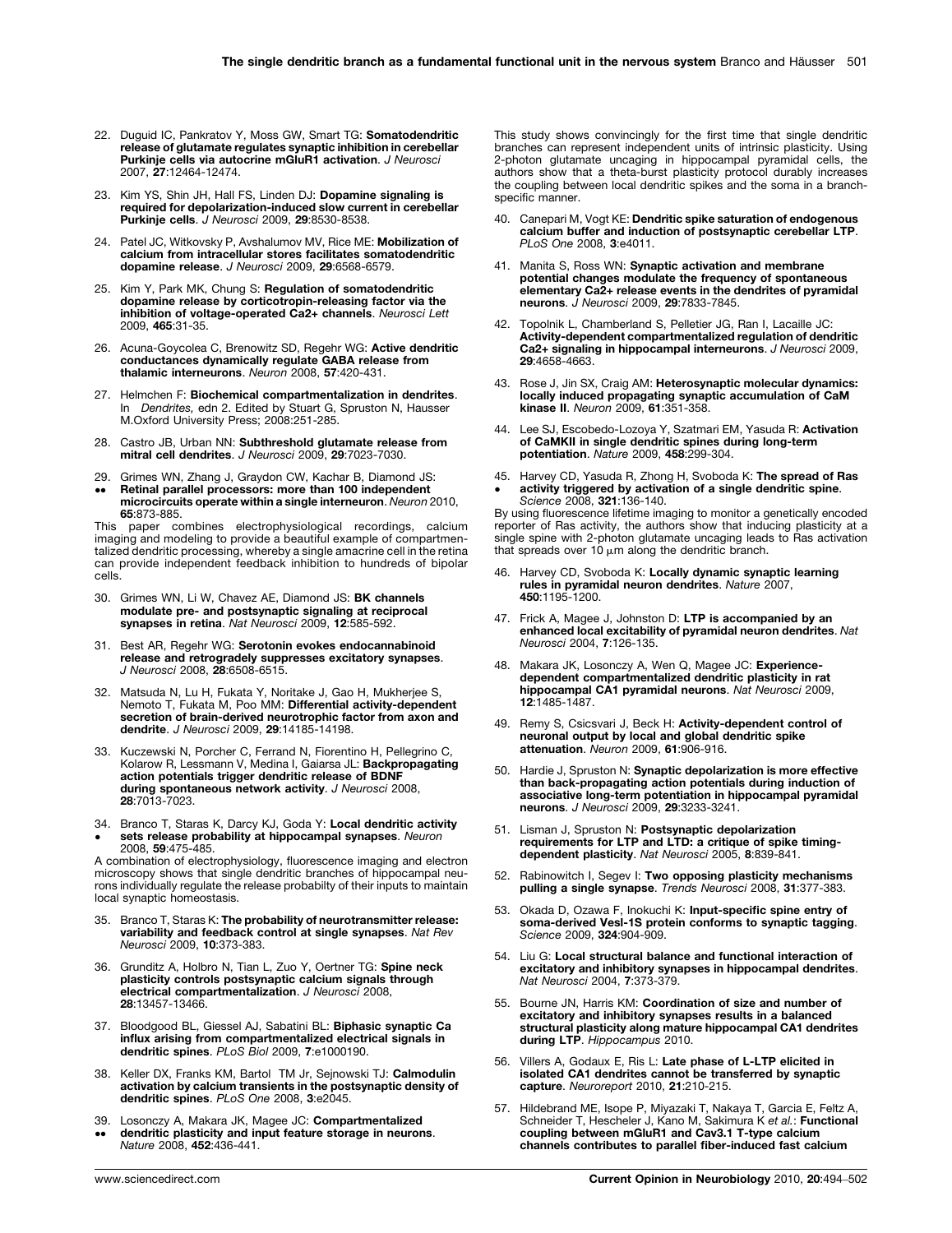- <span id="page-7-0"></span>22. Duquid IC, Pankratov Y, Moss GW, Smart TG: Somatodendritic release of glutamate regulates synaptic inhibition in cerebellar Purkinje cells via autocrine mGluR1 activation. J Neurosci 2007, 27:12464-12474.
- 23. Kim YS, Shin JH, Hall FS, Linden DJ: Dopamine signaling is required for depolarization-induced slow current in cerebellar Purkinje cells. J Neurosci 2009, 29:8530-8538.
- 24. Patel JC, Witkovsky P, Avshalumov MV, Rice ME: Mobilization of calcium from intracellular stores facilitates somatodendritic dopamine release. J Neurosci 2009, 29:6568-6579.
- 25. Kim Y, Park MK, Chung S: Regulation of somatodendritic dopamine release by corticotropin-releasing factor via the inhibition of voltage-operated Ca2+ channels. Neurosci Lett 2009, 465:31-35.
- 26. Acuna-Goycolea C, Brenowitz SD, Regehr WG: Active dendritic conductances dynamically regulate GABA release from thalamic interneurons. Neuron 2008, 57:420-431.
- 27. Helmchen F: Biochemical compartmentalization in dendrites. In Dendrites, edn 2. Edited by Stuart G, Spruston N, Hausser M.Oxford University Press; 2008:251-285.
- 28. Castro JB, Urban NN: Subthreshold glutamate release from mitral cell dendrites. J Neurosci 2009, 29:7023-7030.
- 29. Grimes WN, Zhang J, Graydon CW, Kachar B, Diamond JS:
- $\bullet$ -Retinal parallel processors: more than 100 independent microcircuits operate within a single interneuron. Neuron 2010, 65:873-885.

This paper combines electrophysiological recordings, calcium imaging and modeling to provide a beautiful example of compartmentalized dendritic processing, whereby a single amacrine cell in the retina can provide independent feedback inhibition to hundreds of bipolar cells.

- 30. Grimes WN, Li W, Chavez AE, Diamond JS: BK channels modulate pre- and postsynaptic signaling at reciprocal synapses in retina. Nat Neurosci 2009, 12:585-592.
- 31. Best AR, Regehr WG: Serotonin evokes endocannabinoid release and retrogradely suppresses excitatory synapses. J Neurosci 2008, 28:6508-6515.
- 32. Matsuda N, Lu H, Fukata Y, Noritake J, Gao H, Mukherjee S, Nemoto T, Fukata M, Poo MM: Differential activity-dependent secretion of brain-derived neurotrophic factor from axon and dendrite. J Neurosci 2009, 29:14185-14198.
- 33. Kuczewski N, Porcher C, Ferrand N, Fiorentino H, Pellegrino C, Kolarow R, Lessmann V, Medina I, Gaiarsa JL: Backpropagating action potentials trigger dendritic release of BDNF during spontaneous network activity. J Neurosci 2008, 28:7013-7023.
- 34. Branco T, Staras K, Darcy KJ, Goda Y: Local dendritic activity  $\bullet$ sets release probability at hippocampal synapses. Neuron 2008, 59:475-485.

A combination of electrophysiology, fluorescence imaging and electron microscopy shows that single dendritic branches of hippocampal neurons individually regulate the release probabilty of their inputs to maintain local synaptic homeostasis.

- 35. Branco T, Staras K: The probability of neurotransmitter release: variability and feedback control at single synapses. Nat Rev Neurosci 2009, 10:373-383.
- 36. Grunditz A, Holbro N, Tian L, Zuo Y, Oertner TG: Spine neck plasticity controls postsynaptic calcium signals through electrical compartmentalization. J Neurosci 2008, 28:13457-13466.
- 37. Bloodgood BL, Giessel AJ, Sabatini BL: Biphasic synaptic Ca influx arising from compartmentalized electrical signals in dendritic spines. PLoS Biol 2009, 7:e1000190.
- 38. Keller DX, Franks KM, Bartol TM Jr, Sejnowski TJ: Calmodulin activation by calcium transients in the postsynaptic density of dendritic spines. PLoS One 2008, 3:e2045.
- 39. Losonczy A, Makara JK, Magee JC: **Compartmentalized**
- $\bullet$ dendritic plasticity and input feature storage in neurons. Nature 2008, 452:436-441.

This study shows convincingly for the first time that single dendritic branches can represent independent units of intrinsic plasticity. Using 2-photon glutamate uncaging in hippocampal pyramidal cells, the authors show that a theta-burst plasticity protocol durably increases the coupling between local dendritic spikes and the soma in a branchspecific manner.

- 40. Canepari M, Vogt KE: Dendritic spike saturation of endogenous calcium buffer and induction of postsynaptic cerebellar LTP. PLoS One 2008, 3:e4011.
- 41. Manita S, Ross WN: Synaptic activation and membrane potential changes modulate the frequency of spontaneous elementary Ca2+ release events in the dendrites of pyramidal neurons. J Neurosci 2009, 29:7833-7845.
- 42. Topolnik L, Chamberland S, Pelletier JG, Ran I, Lacaille JC: Activity-dependent compartmentalized regulation of dendritic Ca2+ signaling in hippocampal interneurons. J Neurosci 2009, 29:4658-4663.
- 43. Rose J, Jin SX, Craig AM: Heterosynaptic molecular dynamics: locally induced propagating synaptic accumulation of CaM kinase II. Neuron 2009, 61:351-358.
- 44. Lee SJ, Escobedo-Lozoya Y, Szatmari EM, Yasuda R: Activation of CaMKII in single dendritic spines during long-term potentiation. Nature 2009, 458:299-304.
- 45. Harvey CD, Yasuda R, Zhong H, Svoboda K: The spread of Ras activity triggered by activation of a single dendritic spine. Science 2008, 321:136-140.

By using fluorescence lifetime imaging to monitor a genetically encoded reporter of Ras activity, the authors show that inducing plasticity at a single spine with 2-photon glutamate uncaging leads to Ras activation that spreads over 10  $\mu$ m along the dendritic branch.

- 46. Harvey CD, Svoboda K: Locally dynamic synaptic learning **rules in pyramidal neuron dendrites**. *Nature* 2007,<br>**450**:1195-1200.
- 47. Frick A, Magee J, Johnston D: LTP is accompanied by an enhanced local excitability of pyramidal neuron dendrites. Nat Neurosci 2004, 7:126-135.
- 48. Makara JK, Losonczy A, Wen Q, Magee JC: Experiencedependent compartmentalized dendritic plasticity in rat hippocampal CA1 pyramidal neurons. Nat Neurosci 2009, 12:1485-1487.
- 49. Remy S, Csicsvari J, Beck H: Activity-dependent control of neuronal output by local and global dendritic spike attenuation. Neuron 2009, 61:906-916.
- 50. Hardie J, Spruston N: Synaptic depolarization is more effective than back-propagating action potentials during induction of associative long-term potentiation in hippocampal pyramidal neurons. J Neurosci 2009, 29:3233-3241.
- 51. Lisman J, Spruston N: Postsynaptic depolarization requirements for LTP and LTD: a critique of spike timingdependent plasticity. Nat Neurosci 2005, 8:839-841.
- 52. Rabinowitch I, Segev I: Two opposing plasticity mechanisms<br>pulling a single synapse. Trends Neurosci 2008, 31:377-383.
- 53. Okada D, Ozawa F, Inokuchi K: Input-specific spine entry of soma-derived Vesl-1S protein conforms to synaptic tagging. Science 2009, 324:904-909.
- 54. Liu G: Local structural balance and functional interaction of excitatory and inhibitory synapses in hippocampal dendrites. Nat Neurosci 2004, 7:373-379.
- 55. Bourne JN, Harris KM: Coordination of size and number of excitatory and inhibitory synapses results in a balanced structural plasticity along mature hippocampal CA1 dendrites during LTP. Hippocampus 2010.
- 56. Villers A, Godaux E, Ris L: Late phase of L-LTP elicited in isolated CA1 dendrites cannot be transferred by synaptic capture. Neuroreport 2010, 21:210-215.
- 57. Hildebrand ME, Isope P, Miyazaki T, Nakaya T, Garcia E, Feltz A, Schneider T, Hescheler J, Kano M, Sakimura K et al.: Functional coupling between mGluR1 and Cav3.1 T-type calcium channels contributes to parallel fiber-induced fast calcium